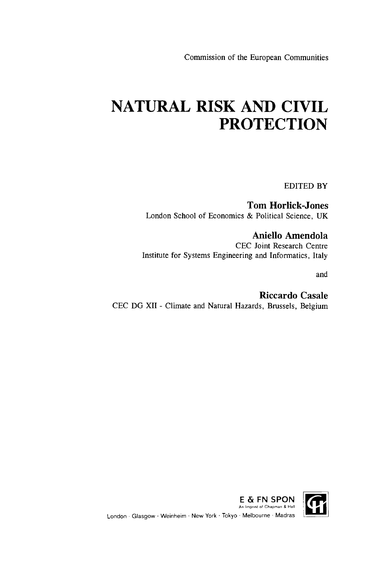Commission of the European Communities

# **NATURAL RISK AND CIVIL PROTECTION**

EDITED BY

Tom Horlick-Jones London School of Economics & Political Science, UK

Aniello Amendola CEC Joint Research Centre Institute for Systems Engineering and Informatics, Italy

and

Riccardo Casale CEC DG XII - Climate and Natural Hazards, Brussels, Belgium

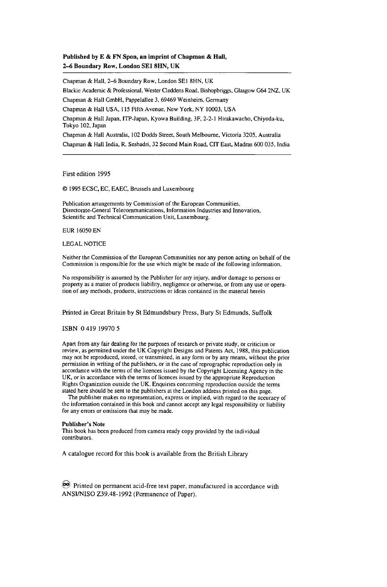#### **Published by E & FN Spon, an imprint of Chapman & Hall, 2-6 Boundary Row, London SEI 8HN, UK**

Chapman & Hall, 2-6 Boundary Row, London SEI 8HN, UK Blackie Academic & Professional, Wester Cleddens Road, Bishopbriggs, Glasgow G64 2NZ, UK Chapman & Hall GmbH, Pappelallee 3, 69469 Weinheim, Germany Chapman & Hall USA, 115 Fifth Avenue, New York, NY 10003, USA Chapman & Hall Japan, ITP-Japan, Kyowa Building, 3F, 2-2-1 Hirakawacho, Chiyoda-ku, Tokyo 102, Japan Chapman & Hall Australia, 102 Dodds Street, South Melbourne, Victoria 3205, Australia Chapman & Hall India, R. Seshadri, 32 Second Main Road, CIT East, Madras 600 035, India

First edition 1995

© 1995 ECSC, EC, EAEC, Brussels and Luxembourg

Publication arrangements by Commission of the European Communities, Directorate-General Telecommunications, Information Industries and Innovation, Scientific and Technical Communication Unit, Luxembourg.

EUR 16050 EN

#### LEGAL NOTICE

Neither the Commission of the European Communities nor any person acting on behalf of the Commission is responsible for the use which might be made of the following information.

No responsibility is assumed by the Publisher for any injury, and/or damage to persons or property as a matter of products liability, negligence or otherwise, or from any use or operation of any methods, products, instructions or ideas contained in the material herein

#### Printed in Great Britain by St Edmundsbury Press, Bury St Edmunds, Suffolk

#### ISBN 0 419 19970 5

Apart from any fair dealing for the purposes of research or private study, or criticism or review, as permitted under the UK Copyright Designs and Patents Act, 1988, this publication may not be reproduced, stored, or transmitted, in any form or by any means, without the prior permission in writing of the publishers, or in the case of reprographic reproduction only in accordance with the terms of the licences issued by the Copyright Licensing Agency in the UK, or in accordance with the terms of licences issued by the appropriate Reproduction Rights Organization outside the UK. Enquiries concerning reproduction outside the terms stated here should be sent to the publishers at the London address printed on this page.

The publisher makes no representation, express or implied, with regard to the accuracy of the information contained in this book and cannot accept any legal responsibility or liability for any errors or omissions that may be made.

#### **Publisher's Note**

This book has been produced from camera ready copy provided by the individual contributors.

A catalogue record for this book is available from the British Library

So Printed on permanent acid-free text paper, manufactured in accordance with ANSI/NISO Z39.48-1992 (Permanence of Paper).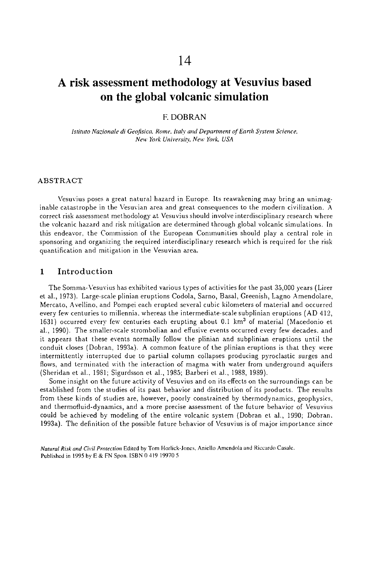# A risk assessment methodology at Vesuvius based on the global volcanic simulation

# F. DOBRAN

*Istituto Nazionale di Geofisica, Rome, Italy and Department of Earth System Science. New York University, New York, USA* 

### **ABSTRACT**

Vesuvius poses a great natural hazard in Europe. Its reawakening may bring an unimaginable catastrophe in the Vesuvian area and great consequences to the modern civilization. A correct risk assessment methodology at Vesuvius should involve interdisciplinary research where the volcanic hazard and risk mitigation are determined through global volcanic simulations. In this endeavor, the Commission of the European Communities should play a central role in sponsoring and organizing the required interdisciplinary research which is required for the risk quantification and mitigation in the Vesuvian area.

# 1 Introduction

The Somma-Vesuvius has exhibited various types of activities for the past 35,000 years (Lirer et al., 1973). Large-scale plinian eruptions Codola, Sarno, Basal, Greenish, Lagno Amendolare , Mercato, Avellino, and Pompei each erupted several cubic kilometers of material and occurred every few centuries to millennia, whereas the intermediate-scale subplinian eruptions (AD 412, 1631) occurred every few centuries each erupting about 0.1 km<sup>3</sup> of material (Macedonio et al., 1990). The smaller-scale strombolian and effusive events occurred every few decades, and it appears that these events normally follow the plinian and subplinian eruptions until the conduit closes (Dobran, 1993a). A common feature of the plinian eruptions is that they were intermittently interrupted due to partial column collapses producing pyroclastic surges and flows, and terminated with the interaction of magma with water from underground aquifers (Sheridan et al.. 1981; Sigurdsson et al., 1985; Barberi et al., 1988, 19S9).

Some insight on the future activity of Vesuvius and on its effects on the surroundings can be established from the studies of its past behavior and distribution of its products. The results from these kinds of studies are, however, poorly constrained by thermodynamics, geophysics, and thermofluid-dynamics, and a more precise assessment of the future behavior of Vesuvius could be achieved by modeling of the entire volcanic system (Dobran et al., 1990; Dobran. 1993a). The definition of the possible future behavior of Vesuvius is of major importance since

*Natural Risk and Civil Protection* Edited by Tom Horlick-Jones, Anicllo Amendola and Riccardo Casale. Published in 1995 by E & FN Spon. ISBN 0 419 19970 5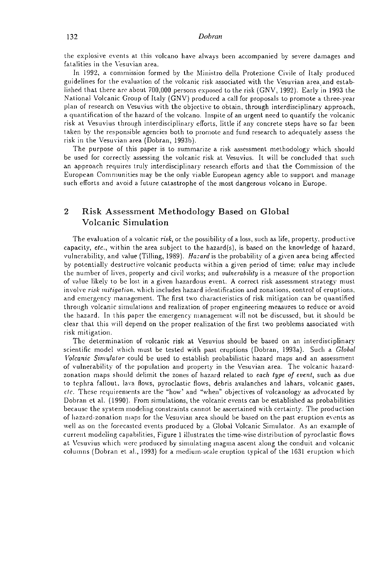the explosive events at this volcano have always been accompanied by severe damages and fatalities in the Yesuvian area.

In 1992, a commission formed by the Ministro della Protezione Civile of Italy produced guidelines for the evaluation of the volcanic risk associated with the Vesuvian area and established that there are about 700,000 persons exposed to the risk (GNV, 1992). Early in 1993 the National Volcanic Group of Italy (GNV) produced a call for proposals to promote a three-year plan of research on Vesuvius with the objective to obtain, through interdisciplinary approach, a quantification of the hazard of the volcano. Inspite of an urgent need to quantify the volcanic risk at Vesuvius through interdisciplinary efforts, little if any concrete steps have so far been taken by the responsible agencies both to promote and fund research to adequately assess the risk in the Vesuvian area (Dobran, 1993b).

The purpose of this paper is to summarize a risk assessment methodology which should be used for correctly assessing the volcanic risk at Vesuvius. It will be concluded that such an approach requires truly interdisciplinary research efforts and that the Commission of the European Communities may be the only viable European agency able to support and manage such efforts and avoid a future catastrophe of the most dangerous volcano in Europe.

# 2 Risk Assessment Methodology Based on Global Volcanic Simulation

The evaluation of a volcanic risk, or the possibility of a loss, such as life, property, productive capacity, *etc.,* within the area subject to the hazard(s), is based on the knowledge of hazard, vulnerability, and value (Tilling, 1989). *Hazard* is the probability of a given area being affected by potentially destructive volcanic products within a given period of time; *value* may include the number of lives, property and civil works; and *vulnerability* is a measure of the proportion of value likely to be lost in a given hazardous event. A correct risk assessment strategy must involve *risk mitigation,* which includes hazard identification and zonations, control of eruptions, and emergency management. The first two characteristics of risk mitigation can be quantified through volcanic simulations and realization of proper engineering measures to reduce or avoid the hazard. In this paper the emergency management will not be discussed, but it should be clear that this will depend on the proper realization of the first two problems associated with risk mitigation.

The determination of volcanic risk at Vesuvius should be based on an interdisciplinary scientific model which must be tested with past eruptions (Dobran, 1993a). Such a *Global Volcanic Simulator* could be used to establish probabilistic hazard maps and an assessment of vulnerability of the population and property in the Vesuvian area. The volcanic hazardzonation maps should delimit the zones of hazard related to *each type of event,* such as due to tephra fallout, lava flows, pyroclastic flows, debris avalanches and lahars, volcanic gases, *clc.* These requirements are the "how' and "when" objectives of volcanology as advocated by Dobran et al. (1990). From simulations, the volcanic events can be established as probabilities because the system modeling constraints cannot be ascertained with certainty. The production of hazard-zonation maps for the Vesuvian area should be based on the past eruption events as well as on the forecasted events produced by a Global Volcanic Simulator. As an example of current modeling capabilities, Figure 1 illustrates the time-wise distribution of pyroclastic flows at Vesuvius which were produced by simulating magma ascent along the conduit and volcanic columns (Dobran et al., 1993) for a medium-scale eruption typical of the 1631 eruption which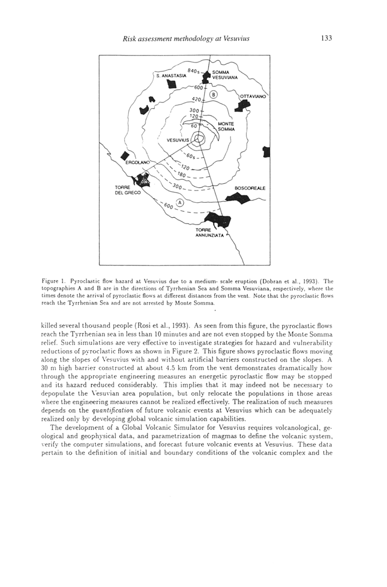

Figure 1. Pyroclastic flow hazard at Vesuvius due to a medium- scale eruption (Dobran et al., 1993). The topographies A and Β are in the directions of Tyrrhenian Sea and Somma Vesuviana, respectively, where the times denote the arrival of pyroclastic flows at different distances from the vent. Note that the pyroclastic flows reach the Tyrrhenian Sea and are not arrested by Monte Somma.

killed several thousand people (Rosi et al., 1993). As seen from this figure, the pyroclastic flows reach the Tyrrhenian sea in less than 10 minutes and are not even stopped by the Monte Somma relief. Such simulations are very effective to investigate strategies for hazard and vulnerability reductions of pyroclastic flows as shown in Figure 2. This figure shows pyroclastic flows moving along the slopes of Vesuvius with and without artificial barriers constructed on the slopes. A 30 m high barrier constructed at about 4.5 km from the vent demonstrates dramatically how through the appropriate engineering measures an energetic pyroclastic flow may be stopped and its hazard reduced considerably. This implies that it may indeed not be necessary to depopulate the Yesuvian area population, but only relocate the populations in those areas where the engineering measures cannot be realized effectively. The realization of such measures depends on the *quantification* of future volcanic events at Vesuvius which can be adequately realized only by developing global volcanic simulation capabilities.

The development of a Global Volcanic Simulator for Vesuvius requires volcanological, geological and geophysical data, and parametrization of magmas to define the volcanic system, verify the computer simulations, and forecast future volcanic events at Vesuvius. These data pertain to the definition of initial and boundary conditions of the volcanic complex and the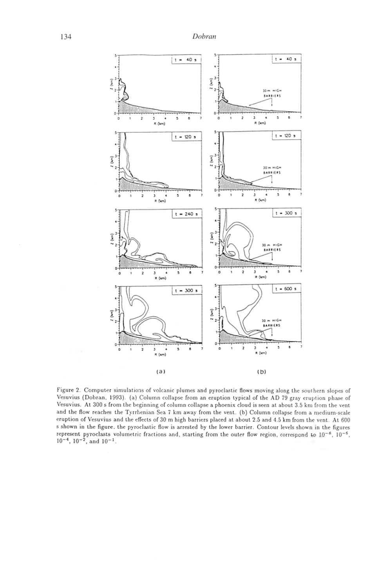

Figure 2. Computer simulations of volcanic plumes and pyroclastic flows moving along the southern slopes of Vesuvius (Dobran, 1993). (a) Column collapse from an eruption typical of the AD 79 gray eruption phase of Vesuvius. At 300 s from the beginning of column collapse a phoenix cloud is seen at about 3.5 km from the vent and the flow reaches the Tyrrhenian Sea 7 km away from the vent, (b) Column collapse from a medium-scale eruption of Vesuvius and the effects of 30 m high barriers placed at about 2.5 and 4.5 km from the vent. At 600 s shown in the figure, the pyroclastic flow is arrested by the lower barrier. Contour levels shown in the figures represent pyroclasts volumetric fractions and, starting from the outer flow region, correspond to  $10^{-8}$ ,  $10^{-8}$ ,  $10^{-6}$ ,  $10^{-4}$ ,  $10^{-2}$ , and  $10^{-1}$ .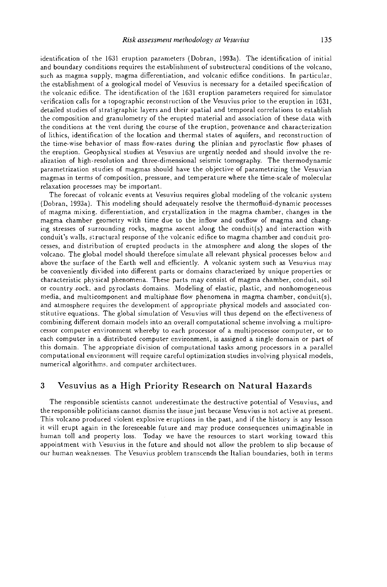identification of the 1631 eruption parameters (Dobran, 1993a). The identification of initial and boundary conditions requires the establishment of substructural conditions of the volcano, such as magma supply, magma differentiation, and volcanic edifice conditions. In particular, the establishment of a geological model of Vesuvius is necessary for a detailed specification of the volcanic edifice. The identification of the 1631 eruption parameters required for simulator verification calls for a topographic reconstruction of the Vesuvius prior to the eruption in 1631, detailed studies of stratigraphie layers and their spatial and temporal correlations to establish the composition and granulometry of the erupted material and association of these data with the conditions at the vent during the course of the eruption, provenance and characterization of lithics, identification of the location and thermal states of aquifers, and reconstruction of the time-wise behavior of mass flow-rates during the plinian and pyroclastic flow phases of the eruption. Geophysical studies at Vesuvius are urgently needed and should involve the realization of high-resolution and three-dimensional seismic tomography. The thermodynamic parametrization studies of magmas should have the objective of parametrizing the Vesuvian magmas in terms of composition, pressure, and temperature where the time-scale of molecular relaxation processes may be important.

The forecast of volcanic events at Vesuvius requires global modeling of the volcanic system (Dobran, 1993a). This modeling should adequately resolve the thermofluid-dynamic processes of magma mixing, differentiation, and crystallization in the magma chamber, changes in the magma chamber geometry with time due to the inflow and outflow of magma and changing stresses of surrounding rocks, magma ascent along the conduit(s) and interaction with conduit's walls, structural response of the volcanic edifice to magma chamber and conduit processes, and distribution of erupted products in the atmosphere and along the slopes of the volcano. The global model should therefore simulate all relevant physical processes below and above the surface of the Earth well and efficiently. A volcanic system such as Vesuvius may be conveniently divided into different parts or domains characterized by unique properties or characteristic physical phenomena. These parts may consist of magma chamber, conduit, soil or country rock, and pyroclasts domains. Modeling of elastic, plastic, and nonhomogeneous media, and multicomponent and multiphase flow phenomena in magma chamber, conduit(s), and atmosphere requires the development of appropriate physical models and associated constitutive equations. The global simulation of Vesuvius will thus depend on the effectiveness of combining different domain models into an overall computational scheme involving a multiprocessor computer environment whereby to each processor of a multiprocessor computer, or to each computer in a distributed computer environment, is assigned a single domain or part of this domain. The appropriate division of computational tasks among processors in a parallel computational environment will require careful optimization studies involving physical models, numerical algorithms, and computer architectures.

# 3 Vesuvius as a High Priority Research on Natural Hazards

The responsible scientists cannot underestimate the destructive potential of Vesuvius, and the responsible politicians cannot dismiss the issue just because Vesuvius is not active at present. This volcano produced violent explosive eruptions in the past, and if the history is any lesson it will erupt again in the foreseeable future and may produce consequences unimaginable in human toll and property loss. Today we have the resources to start working toward this appointment with Vesuvius in the future and should not allow the problem to slip because of our human weaknesses. The Vesuvius problem transcends the Italian boundaries, both in terms